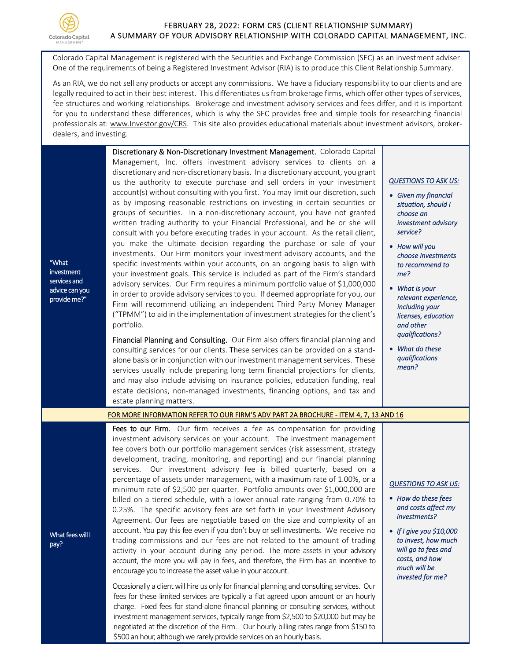

"What investment services and advice can you provide me?"

## FEBRUARY 28, 2022: FORM CRS (CLIENT RELATIONSHIP SUMMARY) A SUMMARY OF YOUR ADVISORY RELATIONSHIP WITH COLORADO CAPITAL MANAGEMENT, INC.

Colorado Capital Management is registered with the Securities and Exchange Commission (SEC) as an investment adviser. One of the requirements of being a Registered Investment Advisor (RIA) is to produce this Client Relationship Summary.

As an RIA, we do not sell any products or accept any commissions. We have a fiduciary responsibility to our clients and are legally required to act in their best interest. This differentiates us from brokerage firms, which offer other types of services, fee structures and working relationships. Brokerage and investment advisory services and fees differ, and it is important for you to understand these differences, which is why the SEC provides free and simple tools for researching financial professionals at: www.Investor.gov/CRS. This site also provides educational materials about investment advisors, brokerdealers, and investing.

> Discretionary & Non‐Discretionary Investment Management. Colorado Capital Management, Inc. offers investment advisory services to clients on a discretionary and non‐discretionary basis. In a discretionary account, you grant us the authority to execute purchase and sell orders in your investment account(s) without consulting with you first. You may limit our discretion, such as by imposing reasonable restrictions on investing in certain securities or groups of securities. In a non‐discretionary account, you have not granted written trading authority to your Financial Professional, and he or she will consult with you before executing trades in your account. As the retail client, you make the ultimate decision regarding the purchase or sale of your investments. Our Firm monitors your investment advisory accounts, and the specific investments within your accounts, on an ongoing basis to align with your investment goals. This service is included as part of the Firm's standard advisory services. Our Firm requires a minimum portfolio value of \$1,000,000 in order to provide advisory services to you. If deemed appropriate for you, our Firm will recommend utilizing an independent Third Party Money Manager ("TPMM") to aid in the implementation of investment strategies for the client's portfolio.

> Financial Planning and Consulting. Our Firm also offers financial planning and consulting services for our clients. These services can be provided on a stand‐ alone basis or in conjunction with our investment management services. These services usually include preparing long term financial projections for clients, and may also include advising on insurance policies, education funding, real estate decisions, non‐managed investments, financing options, and tax and estate planning matters.

## *QUESTIONS TO ASK US:*

- *Given my financial situation, should I choose an investment advisory service?*
- *How will you choose investments to recommend to me?*
- *What is your relevant experience, including your licenses, education and other qualifications?*
- *What do these qualifications mean?*

## [FOR MORE INFORMATION REFER TO OUR FIRM'S ADV PART 2A BROCHURE ‐ ITEM 4, 7, 13 AND 16](https://adviserinfo.sec.gov/firm/summary/114011)

Fees to our Firm. Our firm receives a fee as compensation for providing investment advisory services on your account. The investment management fee covers both our portfolio management services (risk assessment, strategy development, trading, monitoring, and reporting) and our financial planning services. Our investment advisory fee is billed quarterly, based on a percentage of assets under management, with a maximum rate of 1.00%, or a minimum rate of \$2,500 per quarter. Portfolio amounts over \$1,000,000 are billed on a tiered schedule, with a lower annual rate ranging from 0.70% to 0.25%. The specific advisory fees are set forth in your Investment Advisory Agreement. Our fees are negotiable based on the size and complexity of an account. You pay this fee even if you don't buy or sell investments. We receive no trading commissions and our fees are not related to the amount of trading activity in your account during any period. The more assets in your advisory account, the more you will pay in fees, and therefore, the Firm has an incentive to encourage you to increase the asset value in your account.

Occasionally a client will hire us only for financial planning and consulting services. Our fees for these limited services are typically a flat agreed upon amount or an hourly charge. Fixed fees for stand‐alone financial planning or consulting services, without investment management services, typically range from \$2,500 to \$20,000 but may be negotiated at the discretion of the Firm. Our hourly billing rates range from \$150 to \$500 an hour, although we rarely provide services on an hourly basis.

## *QUESTIONS TO ASK US:*

- *How do these fees and costs affect my investments?*
- *If I give you \$10,000 to invest, how much will go to fees and costs, and how much will be invested for me?*

What fees will I pay?